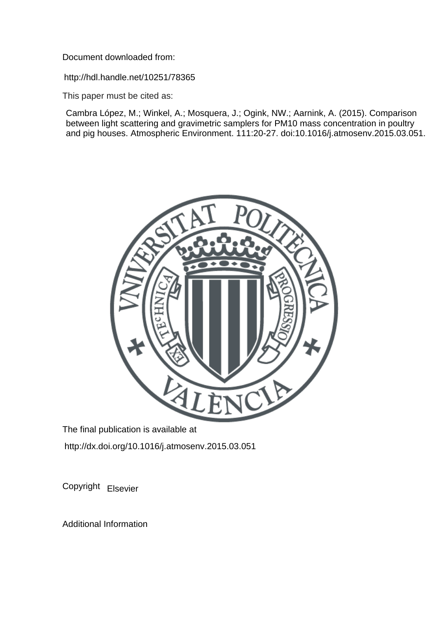Document downloaded from:

http://hdl.handle.net/10251/78365

This paper must be cited as:

Cambra López, M.; Winkel, A.; Mosquera, J.; Ogink, NW.; Aarnink, A. (2015). Comparison between light scattering and gravimetric samplers for PM10 mass concentration in poultry and pig houses. Atmospheric Environment. 111:20-27. doi:10.1016/j.atmosenv.2015.03.051.



The final publication is available at http://dx.doi.org/10.1016/j.atmosenv.2015.03.051

Copyright Elsevier

Additional Information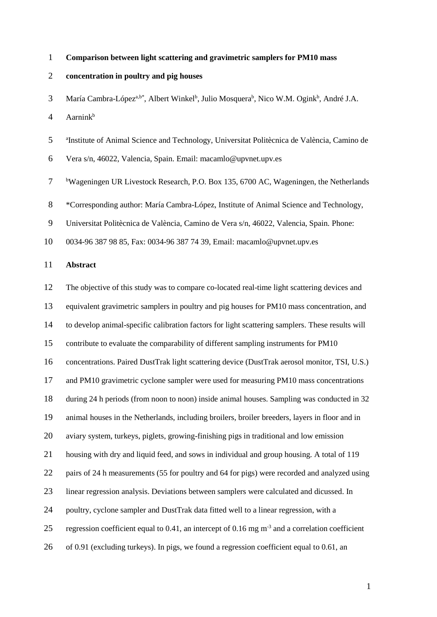#### **Comparison between light scattering and gravimetric samplers for PM10 mass**

#### **concentration in poultry and pig houses**

3 María Cambra-López<sup>a,b\*</sup>, Albert Winkel<sup>b</sup>, Julio Mosquera<sup>b</sup>, Nico W.M. Ogink<sup>b</sup>, André J.A.

Aarnink<sup>b</sup>

5 <sup>a</sup>Institute of Animal Science and Technology, Universitat Politècnica de València, Camino de

Vera s/n, 46022, Valencia, Spain. Email: [macamlo@upvnet.upv.es](mailto:macamlo@upvnet.upv.es)

 <sup>b</sup>Wageningen UR Livestock Research, P.O. Box 135, 6700 AC, Wageningen, the Netherlands

\*Corresponding author: María Cambra-López, Institute of Animal Science and Technology,

Universitat Politècnica de València, Camino de Vera s/n, 46022, Valencia, Spain. Phone:

0034-96 387 98 85, Fax: 0034-96 387 74 39, Email: [macamlo@upvnet.upv.es](mailto:macamlo@upvnet.upv.es)

#### **Abstract**

 The objective of this study was to compare co-located real-time light scattering devices and equivalent gravimetric samplers in poultry and pig houses for PM10 mass concentration, and to develop animal-specific calibration factors for light scattering samplers. These results will contribute to evaluate the comparability of different sampling instruments for PM10 concentrations. Paired DustTrak light scattering device (DustTrak aerosol monitor, TSI, U.S.) and PM10 gravimetric cyclone sampler were used for measuring PM10 mass concentrations during 24 h periods (from noon to noon) inside animal houses. Sampling was conducted in 32 animal houses in the Netherlands, including broilers, broiler breeders, layers in floor and in aviary system, turkeys, piglets, growing-finishing pigs in traditional and low emission housing with dry and liquid feed, and sows in individual and group housing. A total of 119 pairs of 24 h measurements (55 for poultry and 64 for pigs) were recorded and analyzed using linear regression analysis. Deviations between samplers were calculated and dicussed. In 24 poultry, cyclone sampler and DustTrak data fitted well to a linear regression, with a 25 regression coefficient equal to 0.41, an intercept of 0.16 mg  $m^{-3}$  and a correlation coefficient of 0.91 (excluding turkeys). In pigs, we found a regression coefficient equal to 0.61, an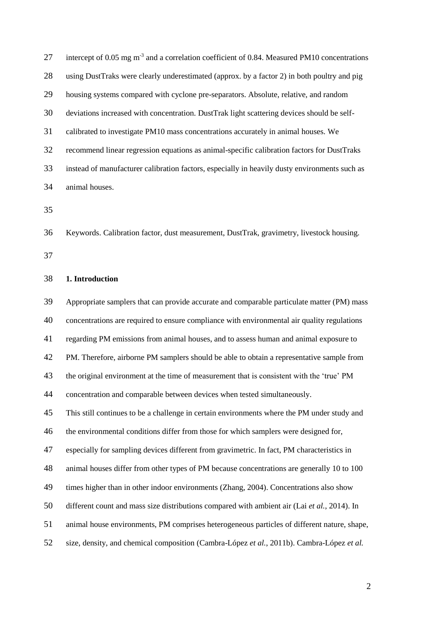| 27 | intercept of 0.05 mg $m-3$ and a correlation coefficient of 0.84. Measured PM10 concentrations |
|----|------------------------------------------------------------------------------------------------|
| 28 | using DustTraks were clearly underestimated (approx. by a factor 2) in both poultry and pig    |
| 29 | housing systems compared with cyclone pre-separators. Absolute, relative, and random           |
| 30 | deviations increased with concentration. DustTrak light scattering devices should be self-     |
| 31 | calibrated to investigate PM10 mass concentrations accurately in animal houses. We             |
| 32 | recommend linear regression equations as animal-specific calibration factors for DustTraks     |
| 33 | instead of manufacturer calibration factors, especially in heavily dusty environments such as  |
| 34 | animal houses.                                                                                 |
|    |                                                                                                |

Keywords. Calibration factor, dust measurement, DustTrak, gravimetry, livestock housing.

# **1. Introduction**

 Appropriate samplers that can provide accurate and comparable particulate matter (PM) mass concentrations are required to ensure compliance with environmental air quality regulations regarding PM emissions from animal houses, and to assess human and animal exposure to PM. Therefore, airborne PM samplers should be able to obtain a representative sample from the original environment at the time of measurement that is consistent with the 'true' PM concentration and comparable between devices when tested simultaneously. This still continues to be a challenge in certain environments where the PM under study and the environmental conditions differ from those for which samplers were designed for, especially for sampling devices different from gravimetric. In fact, PM characteristics in animal houses differ from other types of PM because concentrations are generally 10 to 100 times higher than in other indoor environments (Zhang, 2004). Concentrations also show different count and mass size distributions compared with ambient air (Lai *et al.*, 2014). In animal house environments, PM comprises heterogeneous particles of different nature, shape,

size, density, and chemical composition (Cambra-López *et al.*, 2011b). Cambra-López *et al.*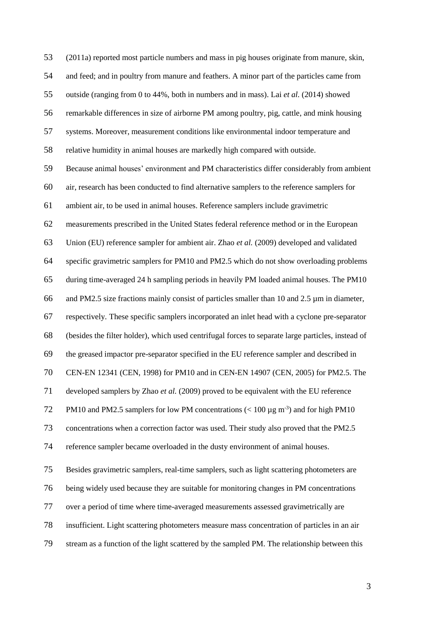(2011a) reported most particle numbers and mass in pig houses originate from manure, skin, and feed; and in poultry from manure and feathers. A minor part of the particles came from outside (ranging from 0 to 44%, both in numbers and in mass). Lai *et al.* (2014) showed remarkable differences in size of airborne PM among poultry, pig, cattle, and mink housing systems. Moreover, measurement conditions like environmental indoor temperature and relative humidity in animal houses are markedly high compared with outside. Because animal houses' environment and PM characteristics differ considerably from ambient air, research has been conducted to find alternative samplers to the reference samplers for ambient air, to be used in animal houses. Reference samplers include gravimetric measurements prescribed in the United States federal reference method or in the European Union (EU) reference sampler for ambient air. Zhao *et al.* (2009) developed and validated specific gravimetric samplers for PM10 and PM2.5 which do not show overloading problems during time-averaged 24 h sampling periods in heavily PM loaded animal houses. The PM10 and PM2.5 size fractions mainly consist of particles smaller than 10 and 2.5 µm in diameter, respectively. These specific samplers incorporated an inlet head with a cyclone pre-separator (besides the filter holder), which used centrifugal forces to separate large particles, instead of the greased impactor pre-separator specified in the EU reference sampler and described in CEN-EN 12341 (CEN, 1998) for PM10 and in CEN-EN 14907 (CEN, 2005) for PM2.5. The developed samplers by Zhao *et al.* (2009) proved to be equivalent with the EU reference PM10 and PM2.5 samplers for low PM concentrations  $(< 100 \,\mu g \,\text{m}^3)$  and for high PM10 concentrations when a correction factor was used. Their study also proved that the PM2.5 reference sampler became overloaded in the dusty environment of animal houses. Besides gravimetric samplers, real-time samplers, such as light scattering photometers are being widely used because they are suitable for monitoring changes in PM concentrations over a period of time where time-averaged measurements assessed gravimetrically are insufficient. Light scattering photometers measure mass concentration of particles in an air stream as a function of the light scattered by the sampled PM. The relationship between this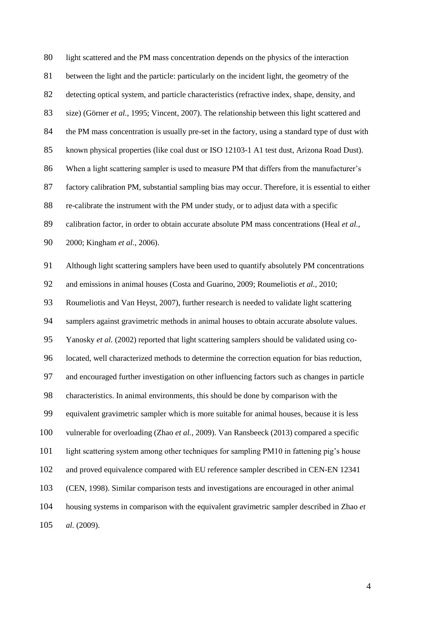light scattered and the PM mass concentration depends on the physics of the interaction between the light and the particle: particularly on the incident light, the geometry of the detecting optical system, and particle characteristics (refractive index, shape, density, and size) (Görner *et al.*, 1995; Vincent, 2007). The relationship between this light scattered and 84 the PM mass concentration is usually pre-set in the factory, using a standard type of dust with known physical properties (like coal dust or ISO 12103-1 A1 test dust, Arizona Road Dust). When a light scattering sampler is used to measure PM that differs from the manufacturer's factory calibration PM, substantial sampling bias may occur. Therefore, it is essential to either re-calibrate the instrument with the PM under study, or to adjust data with a specific 89 calibration factor, in order to obtain accurate absolute PM mass concentrations (Heal *et al.*, 2000; Kingham *et al.*, 2006). Although light scattering samplers have been used to quantify absolutely PM concentrations and emissions in animal houses (Costa and Guarino, 2009; Roumeliotis *et al.*, 2010; Roumeliotis and Van Heyst, 2007), further research is needed to validate light scattering samplers against gravimetric methods in animal houses to obtain accurate absolute values. Yanosky *et al.* (2002) reported that light scattering samplers should be validated using co- located, well characterized methods to determine the correction equation for bias reduction, and encouraged further investigation on other influencing factors such as changes in particle characteristics. In animal environments, this should be done by comparison with the equivalent gravimetric sampler which is more suitable for animal houses, because it is less vulnerable for overloading (Zhao *et al.*, 2009). Van Ransbeeck (2013) compared a specific light scattering system among other techniques for sampling PM10 in fattening pig's house and proved equivalence compared with EU reference sampler described in CEN-EN 12341 (CEN, 1998). Similar comparison tests and investigations are encouraged in other animal housing systems in comparison with the equivalent gravimetric sampler described in Zhao *et al.* (2009).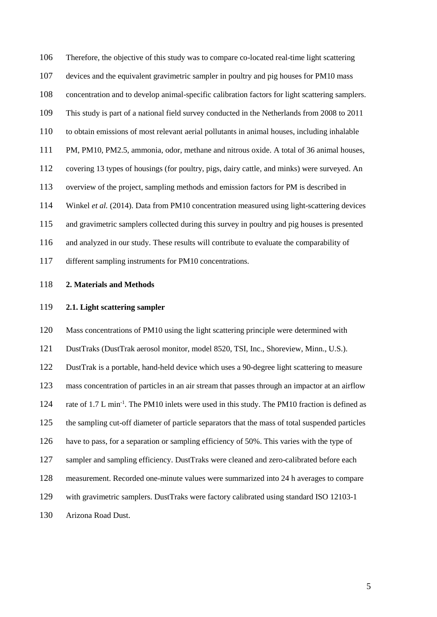Therefore, the objective of this study was to compare co-located real-time light scattering devices and the equivalent gravimetric sampler in poultry and pig houses for PM10 mass concentration and to develop animal-specific calibration factors for light scattering samplers. This study is part of a national field survey conducted in the Netherlands from 2008 to 2011 to obtain emissions of most relevant aerial pollutants in animal houses, including inhalable PM, PM10, PM2.5, ammonia, odor, methane and nitrous oxide. A total of 36 animal houses, covering 13 types of housings (for poultry, pigs, dairy cattle, and minks) were surveyed. An overview of the project, sampling methods and emission factors for PM is described in Winkel *et al.* (2014). Data from PM10 concentration measured using light-scattering devices and gravimetric samplers collected during this survey in poultry and pig houses is presented and analyzed in our study. These results will contribute to evaluate the comparability of different sampling instruments for PM10 concentrations.

# **2. Materials and Methods**

#### **2.1. Light scattering sampler**

 Mass concentrations of PM10 using the light scattering principle were determined with DustTraks (DustTrak aerosol monitor, model 8520, TSI, Inc., Shoreview, Minn., U.S.). DustTrak is a portable, hand-held device which uses a 90-degree light scattering to measure mass concentration of particles in an air stream that passes through an impactor at an airflow 124 rate of 1.7 L min<sup>-1</sup>. The PM10 inlets were used in this study. The PM10 fraction is defined as the sampling cut-off diameter of particle separators that the mass of total suspended particles have to pass, for a separation or sampling efficiency of 50%. This varies with the type of sampler and sampling efficiency. DustTraks were cleaned and zero-calibrated before each measurement. Recorded one-minute values were summarized into 24 h averages to compare with gravimetric samplers. DustTraks were factory calibrated using standard ISO 12103-1 Arizona Road Dust.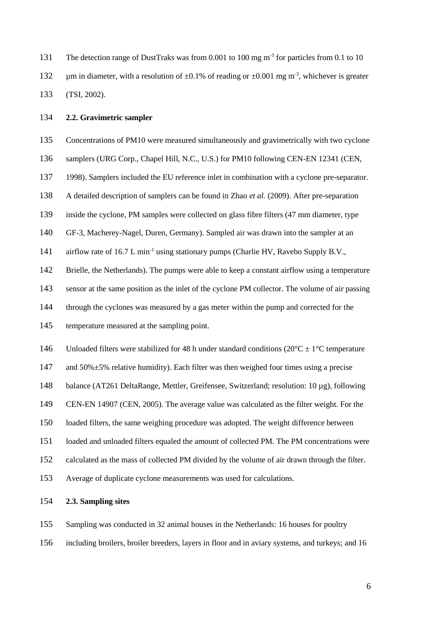The detection range of DustTraks was from 0.001 to 100 mg  $m<sup>3</sup>$  for particles from 0.1 to 10 132  $\mu$ m in diameter, with a resolution of  $\pm 0.1\%$  of reading or  $\pm 0.001$  mg m<sup>-3</sup>, whichever is greater (TSI, 2002).

# **2.2. Gravimetric sampler**

Concentrations of PM10 were measured simultaneously and gravimetrically with two cyclone

samplers (URG Corp., Chapel Hill, N.C., U.S.) for PM10 following CEN-EN 12341 (CEN,

1998). Samplers included the EU reference inlet in combination with a cyclone pre-separator.

A detailed description of samplers can be found in Zhao *et al.* (2009). After pre-separation

inside the cyclone, PM samples were collected on glass fibre filters (47 mm diameter, type

GF-3, Macherey-Nagel, Duren, Germany). Sampled air was drawn into the sampler at an

141 airflow rate of 16.7 L min<sup>-1</sup> using stationary pumps (Charlie HV, Ravebo Supply B.V.,

Brielle, the Netherlands). The pumps were able to keep a constant airflow using a temperature

sensor at the same position as the inlet of the cyclone PM collector. The volume of air passing

through the cyclones was measured by a gas meter within the pump and corrected for the

temperature measured at the sampling point.

146 Unloaded filters were stabilized for 48 h under standard conditions  $(20^{\circ}C \pm 1^{\circ}C$  temperature

and 50%±5% relative humidity). Each filter was then weighed four times using a precise

balance (AT261 DeltaRange, Mettler, Greifensee, Switzerland; resolution: 10 µg), following

CEN-EN 14907 (CEN, 2005). The average value was calculated as the filter weight. For the

loaded filters, the same weighing procedure was adopted. The weight difference between

loaded and unloaded filters equaled the amount of collected PM. The PM concentrations were

calculated as the mass of collected PM divided by the volume of air drawn through the filter.

Average of duplicate cyclone measurements was used for calculations.

# **2.3. Sampling sites**

Sampling was conducted in 32 animal houses in the Netherlands: 16 houses for poultry

including broilers, broiler breeders, layers in floor and in aviary systems, and turkeys; and 16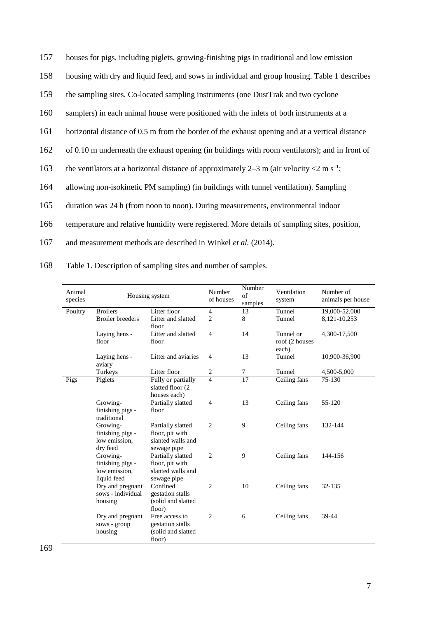157 houses for pigs, including piglets, growing-finishing pigs in traditional and low emission

- 158 housing with dry and liquid feed, and sows in individual and group housing. [Table 1](#page-7-0) describes
- 159 the sampling sites. Co-located sampling instruments (one DustTrak and two cyclone
- 160 samplers) in each animal house were positioned with the inlets of both instruments at a
- 161 horizontal distance of 0.5 m from the border of the exhaust opening and at a vertical distance
- 162 of 0.10 m underneath the exhaust opening (in buildings with room ventilators); and in front of
- 163 the ventilators at a horizontal distance of approximately 2–3 m (air velocity  $\langle 2 \text{ m s}^{-1} \rangle$ ;
- 164 allowing non-isokinetic PM sampling) (in buildings with tunnel ventilation). Sampling
- 165 duration was 24 h (from noon to noon). During measurements, environmental indoor
- 166 temperature and relative humidity were registered. More details of sampling sites, position,
- 167 and measurement methods are described in Winkel *et al.* (2014).
- 168 Table 1. Description of sampling sites and number of samples.

<span id="page-7-0"></span>

| Animal<br>species | Housing system                  |                     | Number<br>of houses | Number<br>$\sigma$ f<br>samples | Ventilation<br>system | Number of<br>animals per house |
|-------------------|---------------------------------|---------------------|---------------------|---------------------------------|-----------------------|--------------------------------|
| Poultry           | <b>Broilers</b>                 | Litter floor        | 4                   | 13                              | Tunnel                | 19,000-52,000                  |
|                   | <b>Broiler</b> breeders         | Litter and slatted  | 2                   | 8                               | Tunnel                | 8,121-10,253                   |
|                   |                                 | floor               |                     |                                 |                       |                                |
|                   | Laying hens -                   | Litter and slatted  | 4                   | 14                              | Tunnel or             | 4,300-17,500                   |
|                   | floor                           | floor               |                     |                                 | roof (2 houses        |                                |
|                   |                                 |                     |                     |                                 | each)                 |                                |
|                   | Laying hens -                   | Litter and aviaries | $\overline{4}$      | 13                              | Tunnel                | 10,900-36,900                  |
|                   | aviary                          |                     |                     |                                 |                       |                                |
|                   | Turkeys                         | Litter floor        | 2                   | 7                               | Tunnel                | 4,500-5,000                    |
| Pigs              | Piglets                         | Fully or partially  | 4                   | 17                              | Ceiling fans          | 75-130                         |
|                   |                                 | slatted floor (2)   |                     |                                 |                       |                                |
|                   |                                 | houses each)        |                     |                                 |                       |                                |
|                   | Growing-                        | Partially slatted   | $\overline{4}$      | 13                              | Ceiling fans          | 55-120                         |
|                   | finishing pigs -<br>traditional | floor               |                     |                                 |                       |                                |
|                   | Growing-                        | Partially slatted   | $\overline{c}$      | 9                               | Ceiling fans          | 132-144                        |
|                   | finishing pigs -                | floor, pit with     |                     |                                 |                       |                                |
|                   | low emission.                   | slanted walls and   |                     |                                 |                       |                                |
|                   | dry feed                        | sewage pipe         |                     |                                 |                       |                                |
|                   | Growing-                        | Partially slatted   | $\overline{2}$      | 9                               | Ceiling fans          | 144-156                        |
|                   | finishing pigs -                | floor, pit with     |                     |                                 |                       |                                |
|                   | low emission.                   | slanted walls and   |                     |                                 |                       |                                |
|                   | liquid feed                     | sewage pipe         |                     |                                 |                       |                                |
|                   | Dry and pregnant                | Confined            | $\overline{c}$      | 10                              | Ceiling fans          | 32-135                         |
|                   | sows - individual               | gestation stalls    |                     |                                 |                       |                                |
|                   | housing                         | (solid and slatted  |                     |                                 |                       |                                |
|                   |                                 | floor)              |                     |                                 |                       |                                |
|                   | Dry and pregnant                | Free access to      | 2                   | 6                               | Ceiling fans          | 39-44                          |
|                   | sows - group                    | gestation stalls    |                     |                                 |                       |                                |
|                   | housing                         | (solid and slatted  |                     |                                 |                       |                                |
|                   |                                 | floor)              |                     |                                 |                       |                                |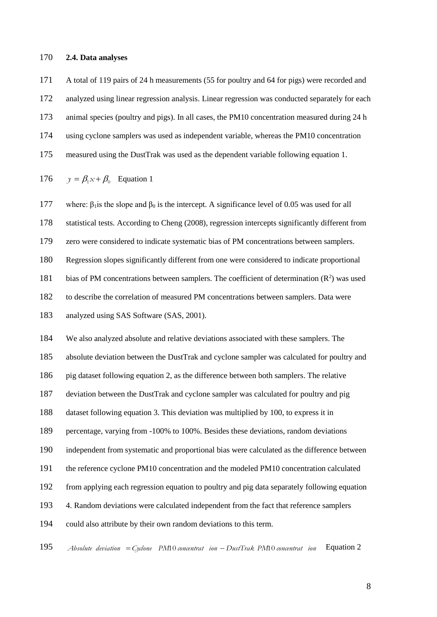#### **2.4. Data analyses**

 A total of 119 pairs of 24 h measurements (55 for poultry and 64 for pigs) were recorded and analyzed using linear regression analysis. Linear regression was conducted separately for each animal species (poultry and pigs). In all cases, the PM10 concentration measured during 24 h using cyclone samplers was used as independent variable, whereas the PM10 concentration measured using the DustTrak was used as the dependent variable following equation 1.

176 
$$
y = \beta_1 x + \beta_0
$$
 Equation 1

177 where:  $\beta_1$  is the slope and  $\beta_0$  is the intercept. A significance level of 0.05 was used for all

statistical tests. According to Cheng (2008), regression intercepts significantly different from

zero were considered to indicate systematic bias of PM concentrations between samplers.

Regression slopes significantly different from one were considered to indicate proportional

181 bias of PM concentrations between samplers. The coefficient of determination  $(R^2)$  was used

to describe the correlation of measured PM concentrations between samplers. Data were

analyzed using SAS Software (SAS, 2001).

 We also analyzed absolute and relative deviations associated with these samplers. The absolute deviation between the DustTrak and cyclone sampler was calculated for poultry and

pig dataset following equation 2, as the difference between both samplers. The relative

deviation between the DustTrak and cyclone sampler was calculated for poultry and pig

dataset following equation 3. This deviation was multiplied by 100, to express it in

percentage, varying from -100% to 100%. Besides these deviations, random deviations

independent from systematic and proportional bias were calculated as the difference between

the reference cyclone PM10 concentration and the modeled PM10 concentration calculated

from applying each regression equation to poultry and pig data separately following equation

4. Random deviations were calculated independent from the fact that reference samplers

could also attribute by their own random deviations to this term.

 *Absolute deviation Cyclone PM*10 *concentrat ion DustTrak PM*10 *concentrat ion* Equation 2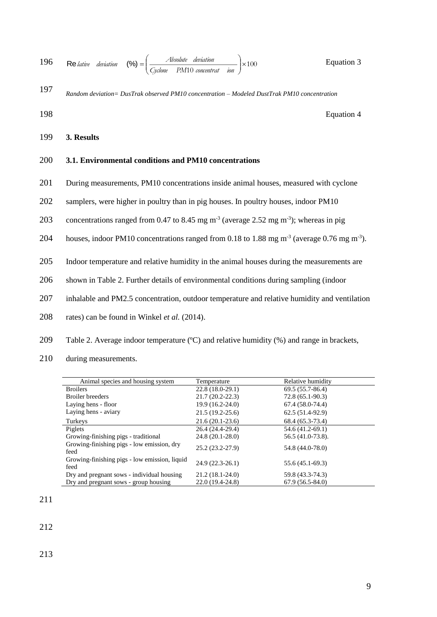196 Re *lative deviation* (%) = 
$$
\left(\frac{Absolute\ deviation}{Cycle\ P M 10\ concentra t\ ion}\right) \times 100
$$
   
Equation 3

*Random deviation= DusTrak observed PM10 concentration – Modeled DustTrak PM10 concentration* 197

198 Equation 4

199 **3. Results**

# 200 **3.1. Environmental conditions and PM10 concentrations**

- 201 During measurements, PM10 concentrations inside animal houses, measured with cyclone
- 202 samplers, were higher in poultry than in pig houses. In poultry houses, indoor PM10
- 203 concentrations ranged from 0.47 to 8.45 mg  $m<sup>-3</sup>$  (average 2.52 mg m<sup>-3</sup>); whereas in pig
- 204 houses, indoor PM10 concentrations ranged from 0.18 to 1.88 mg  $m<sup>-3</sup>$  (average 0.76 mg m<sup>-3</sup>).
- 205 Indoor temperature and relative humidity in the animal houses during the measurements are
- 206 shown in [Table 2.](#page-9-0) Further details of environmental conditions during sampling (indoor
- 207 inhalable and PM2.5 concentration, outdoor temperature and relative humidity and ventilation
- 208 rates) can be found in Winkel *et al.* (2014).
- <span id="page-9-0"></span>209 Table 2. Average indoor temperature (°C) and relative humidity (%) and range in brackets,
- 210 during measurements.

| Animal species and housing system                     | Temperature         | Relative humidity |
|-------------------------------------------------------|---------------------|-------------------|
| <b>Broilers</b>                                       | $22.8(18.0-29.1)$   | 69.5 (55.7-86.4)  |
| <b>Broiler</b> breeders                               | $21.7(20.2 - 22.3)$ | $72.8(65.1-90.3)$ |
| Laying hens - floor                                   | $19.9(16.2 - 24.0)$ | $67.4(58.0-74.4)$ |
| Laying hens - aviary                                  | $21.5(19.2-25.6)$   | $62.5(51.4-92.9)$ |
| Turkeys                                               | $21.6(20.1-23.6)$   | 68.4 (65.3-73.4)  |
| Piglets                                               | 26.4 (24.4-29.4)    | 54.6 (41.2-69.1)  |
| Growing-finishing pigs - traditional                  | 24.8 (20.1-28.0)    | 56.5 (41.0-73.8). |
| Growing-finishing pigs - low emission, dry<br>feed    | 25.2 (23.2-27.9)    | 54.8 (44.0-78.0)  |
| Growing-finishing pigs - low emission, liquid<br>feed | $24.9(22.3-26.1)$   | 55.6 (45.1-69.3)  |
| Dry and pregnant sows - individual housing            | $21.2(18.1 - 24.0)$ | 59.8 (43.3-74.3)  |
| Dry and pregnant sows - group housing                 | 22.0 (19.4-24.8)    | $67.9(56.5-84.0)$ |

211

212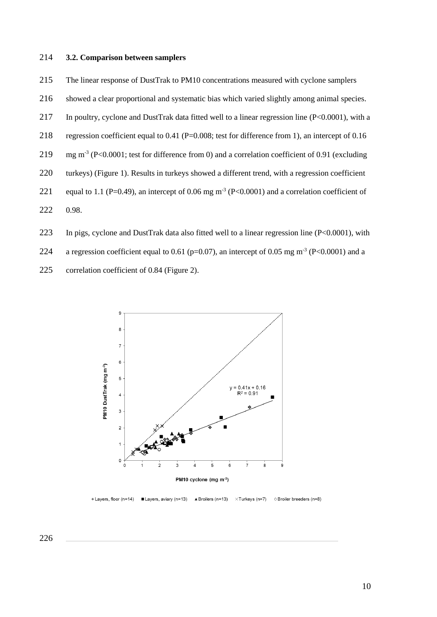#### **3.2. Comparison between samplers**

The linear response of DustTrak to PM10 concentrations measured with cyclone samplers

- showed a clear proportional and systematic bias which varied slightly among animal species.
- In poultry, cyclone and DustTrak data fitted well to a linear regression line (P<0.0001), with a
- regression coefficient equal to 0.41 (P=0.008; test for difference from 1), an intercept of 0.16
- 219 mg m<sup>-3</sup> (P<0.0001; test for difference from 0) and a correlation coefficient of 0.91 (excluding
- turkeys) [\(Figure 1\)](#page-11-0). Results in turkeys showed a different trend, with a regression coefficient
- 221 equal to 1.1 (P=0.49), an intercept of 0.06 mg  $m^3$  (P<0.0001) and a correlation coefficient of
- 0.98.
- In pigs, cyclone and DustTrak data also fitted well to a linear regression line (P<0.0001), with
- 224 a regression coefficient equal to 0.61 (p=0.07), an intercept of 0.05 mg m<sup>-3</sup> (P<0.0001) and a
- correlation coefficient of 0.84 (Figure 2).



Cayers, floor (n=14) ■ Layers, aviary (n=13)  $\blacktriangle$  Broilers (n=13)  $\times$ Turkeys (n=7) O Broiler breeders (n=8)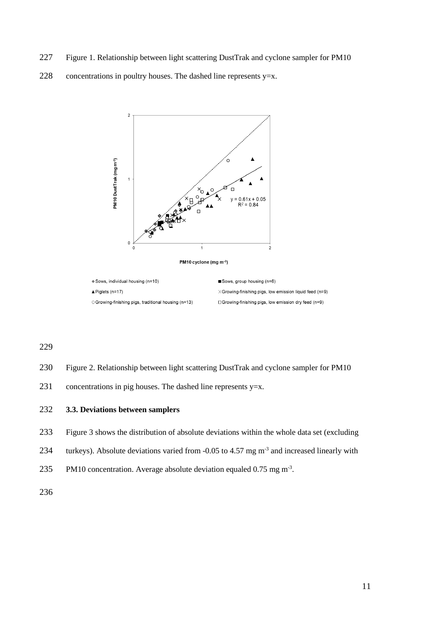- <span id="page-11-0"></span>Figure 1. Relationship between light scattering DustTrak and cyclone sampler for PM10
- 228 concentrations in poultry houses. The dashed line represents  $y=x$ .



- Figure 2. Relationship between light scattering DustTrak and cyclone sampler for PM10
- concentrations in pig houses. The dashed line represents y=x.

# **3.3. Deviations between samplers**

- [Figure 3](#page-12-0) shows the distribution of absolute deviations within the whole data set (excluding
- 234 turkeys). Absolute deviations varied from  $-0.05$  to 4.57 mg m<sup>-3</sup> and increased linearly with
- 235 PM10 concentration. Average absolute deviation equaled  $0.75$  mg m<sup>-3</sup>.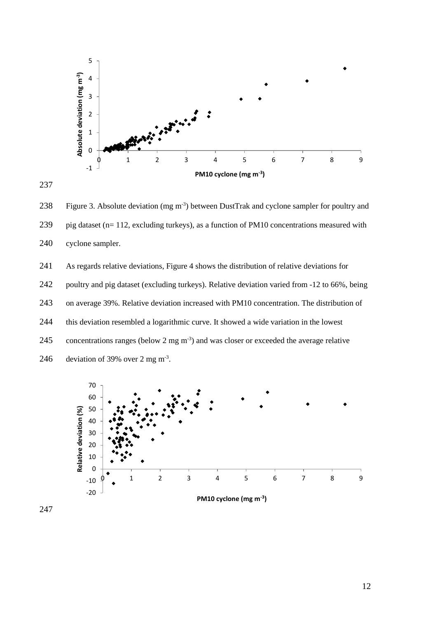

<span id="page-12-0"></span>238 Figure 3. Absolute deviation (mg m<sup>-3</sup>) between DustTrak and cyclone sampler for poultry and pig dataset (n= 112, excluding turkeys), as a function of PM10 concentrations measured with cyclone sampler.

 As regards relative deviations, [Figure 4](#page-13-0) shows the distribution of relative deviations for poultry and pig dataset (excluding turkeys). Relative deviation varied from -12 to 66%, being on average 39%. Relative deviation increased with PM10 concentration. The distribution of this deviation resembled a logarithmic curve. It showed a wide variation in the lowest 245 concentrations ranges (below 2 mg  $\mathrm{m}^3$ ) and was closer or exceeded the average relative 246 deviation of 39% over 2 mg m<sup>-3</sup>.

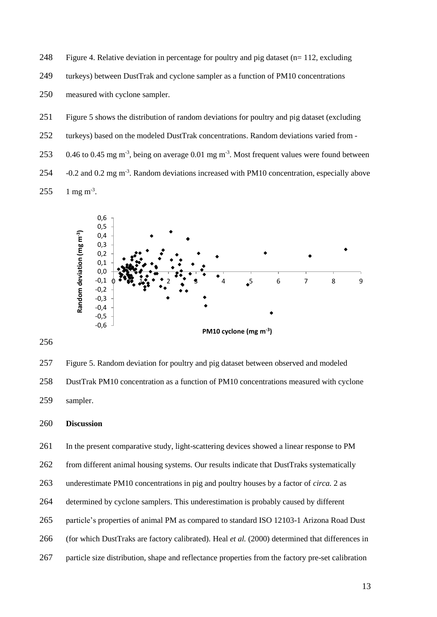<span id="page-13-0"></span>248 Figure 4. Relative deviation in percentage for poultry and pig dataset  $(n=112,$  excluding

249 turkeys) between DustTrak and cyclone sampler as a function of PM10 concentrations

250 measured with cyclone sampler.

- 251 Figure 5 shows the distribution of random deviations for poultry and pig dataset (excluding
- 252 turkeys) based on the modeled DustTrak concentrations. Random deviations varied from -

253 0.46 to 0.45 mg m<sup>-3</sup>, being on average 0.01 mg m<sup>-3</sup>. Most frequent values were found between

254 .  $-0.2$  and 0.2 mg m<sup>-3</sup>. Random deviations increased with PM10 concentration, especially above  $255$  1 mg m<sup>-3</sup>.



256

257 Figure 5. Random deviation for poultry and pig dataset between observed and modeled 258 DustTrak PM10 concentration as a function of PM10 concentrations measured with cyclone 259 sampler.

260 **Discussion**

261 In the present comparative study, light-scattering devices showed a linear response to PM

262 from different animal housing systems. Our results indicate that DustTraks systematically

- 263 underestimate PM10 concentrations in pig and poultry houses by a factor of *circa.* 2 as
- 264 determined by cyclone samplers. This underestimation is probably caused by different
- 265 particle's properties of animal PM as compared to standard ISO 12103-1 Arizona Road Dust
- 266 (for which DustTraks are factory calibrated). Heal *et al.* (2000) determined that differences in
- 267 particle size distribution, shape and reflectance properties from the factory pre-set calibration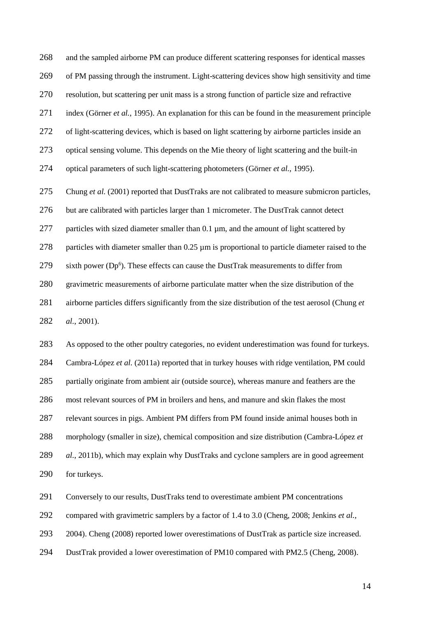and the sampled airborne PM can produce different scattering responses for identical masses of PM passing through the instrument. Light-scattering devices show high sensitivity and time resolution, but scattering per unit mass is a strong function of particle size and refractive index (Görner *et al.*, 1995). An explanation for this can be found in the measurement principle of light-scattering devices, which is based on light scattering by airborne particles inside an optical sensing volume. This depends on the Mie theory of light scattering and the built-in optical parameters of such light-scattering photometers (Görner *et al.*, 1995). Chung *et al.* (2001) reported that DustTraks are not calibrated to measure submicron particles, but are calibrated with particles larger than 1 micrometer. The DustTrak cannot detect 277 particles with sized diameter smaller than 0.1 µm, and the amount of light scattered by 278 particles with diameter smaller than  $0.25 \mu m$  is proportional to particle diameter raised to the 279 isixth power (Dp<sup>6</sup>). These effects can cause the DustTrak measurements to differ from gravimetric measurements of airborne particulate matter when the size distribution of the airborne particles differs significantly from the size distribution of the test aerosol (Chung *et al.*, 2001).

 As opposed to the other poultry categories, no evident underestimation was found for turkeys. Cambra-López *et al.* (2011a) reported that in turkey houses with ridge ventilation, PM could partially originate from ambient air (outside source), whereas manure and feathers are the most relevant sources of PM in broilers and hens, and manure and skin flakes the most relevant sources in pigs. Ambient PM differs from PM found inside animal houses both in morphology (smaller in size), chemical composition and size distribution (Cambra-López *et al.*, 2011b), which may explain why DustTraks and cyclone samplers are in good agreement for turkeys.

Conversely to our results, DustTraks tend to overestimate ambient PM concentrations

compared with gravimetric samplers by a factor of 1.4 to 3.0 (Cheng, 2008; Jenkins *et al.*,

2004). Cheng (2008) reported lower overestimations of DustTrak as particle size increased.

DustTrak provided a lower overestimation of PM10 compared with PM2.5 (Cheng, 2008).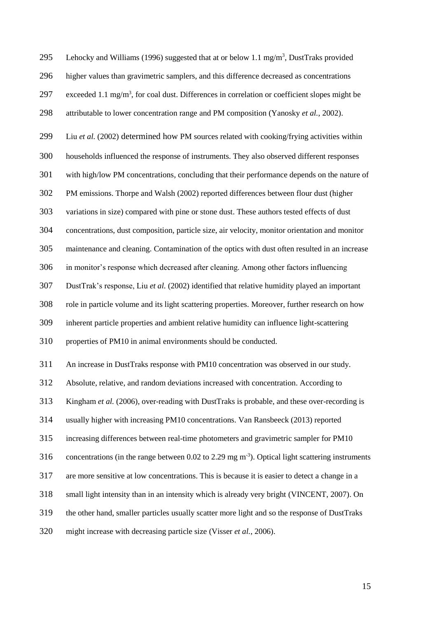295 Lehocky and Williams (1996) suggested that at or below 1.1 mg/m<sup>3</sup>, DustTraks provided higher values than gravimetric samplers, and this difference decreased as concentrations 297 exceeded 1.1 mg/m<sup>3</sup>, for coal dust. Differences in correlation or coefficient slopes might be attributable to lower concentration range and PM composition (Yanosky *et al.*, 2002). Liu *et al.* (2002) determined how PM sources related with cooking/frying activities within households influenced the response of instruments. They also observed different responses with high/low PM concentrations, concluding that their performance depends on the nature of PM emissions. Thorpe and Walsh (2002) reported differences between flour dust (higher variations in size) compared with pine or stone dust. These authors tested effects of dust concentrations, dust composition, particle size, air velocity, monitor orientation and monitor maintenance and cleaning. Contamination of the optics with dust often resulted in an increase in monitor's response which decreased after cleaning. Among other factors influencing DustTrak's response, Liu *et al.* (2002) identified that relative humidity played an important role in particle volume and its light scattering properties. Moreover, further research on how inherent particle properties and ambient relative humidity can influence light-scattering properties of PM10 in animal environments should be conducted. An increase in DustTraks response with PM10 concentration was observed in our study. Absolute, relative, and random deviations increased with concentration. According to Kingham *et al.* (2006), over-reading with DustTraks is probable, and these over-recording is usually higher with increasing PM10 concentrations. Van Ransbeeck (2013) reported increasing differences between real-time photometers and gravimetric sampler for PM10 316 concentrations (in the range between 0.02 to 2.29 mg  $m^{-3}$ ). Optical light scattering instruments are more sensitive at low concentrations. This is because it is easier to detect a change in a small light intensity than in an intensity which is already very bright (VINCENT, 2007). On the other hand, smaller particles usually scatter more light and so the response of DustTraks might increase with decreasing particle size (Visser *et al.*, 2006).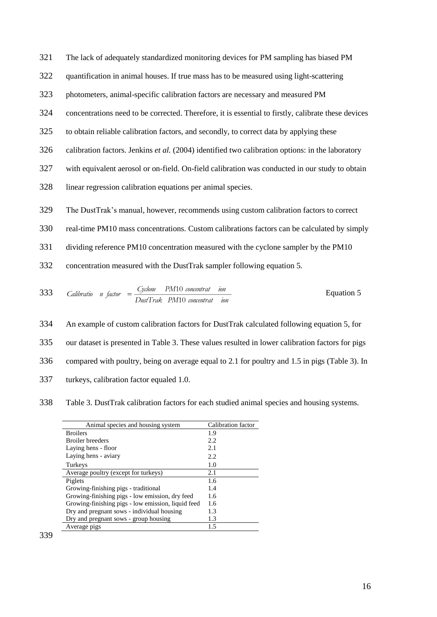321 The lack of adequately standardized monitoring devices for PM sampling has biased PM

- 322 quantification in animal houses. If true mass has to be measured using light-scattering
- 323 photometers, animal-specific calibration factors are necessary and measured PM
- 324 concentrations need to be corrected. Therefore, it is essential to firstly, calibrate these devices
- 325 to obtain reliable calibration factors, and secondly, to correct data by applying these
- 326 calibration factors. Jenkins *et al.* (2004) identified two calibration options: in the laboratory
- 327 with equivalent aerosol or on-field. On-field calibration was conducted in our study to obtain
- 328 linear regression calibration equations per animal species.
- 329 The DustTrak's manual, however, recommends using custom calibration factors to correct
- 330 real-time PM10 mass concentrations. Custom calibrations factors can be calculated by simply
- 331 dividing reference PM10 concentration measured with the cyclone sampler by the PM10
- 332 concentration measured with the DustTrak sampler following equation 5.

333 *Calibratio* 
$$
n
$$
 *factor* =  $\frac{Cyclone}{DustTrak} P M 10$  *concentrat ion*   
  $P M 10$  *concentrat ion*

 An example of custom calibration factors for DustTrak calculated following equation 5, for our dataset is presented in [Table 3.](#page-16-0) These values resulted in lower calibration factors for pigs compared with poultry, being on average equal to 2.1 for poultry and 1.5 in pigs [\(Table 3\)](#page-16-0). In turkeys, calibration factor equaled 1.0.

#### 338 Table 3. DustTrak calibration factors for each studied animal species and housing systems.

<span id="page-16-0"></span>

| Animal species and housing system                  | Calibration factor |
|----------------------------------------------------|--------------------|
| <b>Broilers</b>                                    | 1.9                |
| <b>Broiler</b> breeders                            | 2.2                |
| Laying hens - floor                                | 2.1                |
| Laying hens - aviary                               | 2.2                |
| Turkeys                                            | 1.0                |
| Average poultry (except for turkeys)               | 2.1                |
| Piglets                                            | 1.6                |
| Growing-finishing pigs - traditional               | 1.4                |
| Growing-finishing pigs - low emission, dry feed    | 1.6                |
| Growing-finishing pigs - low emission, liquid feed | 1.6                |
| Dry and pregnant sows - individual housing         | 1.3                |
| Dry and pregnant sows - group housing              | 1.3                |
| Average pigs                                       | 1.5                |
|                                                    |                    |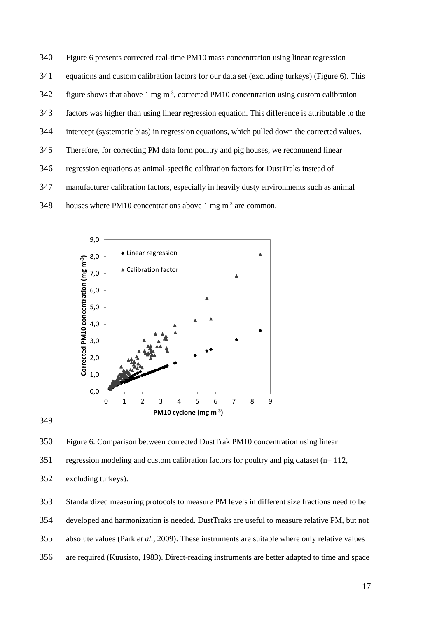| 340 | Figure 6 presents corrected real-time PM10 mass concentration using linear regression               |
|-----|-----------------------------------------------------------------------------------------------------|
| 341 | equations and custom calibration factors for our data set (excluding turkeys) (Figure 6). This      |
| 342 | figure shows that above 1 mg $\mathrm{m}^3$ , corrected PM10 concentration using custom calibration |
| 343 | factors was higher than using linear regression equation. This difference is attributable to the    |
| 344 | intercept (systematic bias) in regression equations, which pulled down the corrected values.        |
| 345 | Therefore, for correcting PM data form poultry and pig houses, we recommend linear                  |
| 346 | regression equations as animal-specific calibration factors for DustTraks instead of                |
| 347 | manufacturer calibration factors, especially in heavily dusty environments such as animal           |
| 348 | houses where PM10 concentrations above 1 mg $\text{m}^3$ are common.                                |



349

<span id="page-17-0"></span>350 Figure 6. Comparison between corrected DustTrak PM10 concentration using linear

351 regression modeling and custom calibration factors for poultry and pig dataset (n= 112,

352 excluding turkeys).

353 Standardized measuring protocols to measure PM levels in different size fractions need to be

354 developed and harmonization is needed. DustTraks are useful to measure relative PM, but not

- 355 absolute values (Park *et al.*, 2009). These instruments are suitable where only relative values
- 356 are required (Kuusisto, 1983). Direct-reading instruments are better adapted to time and space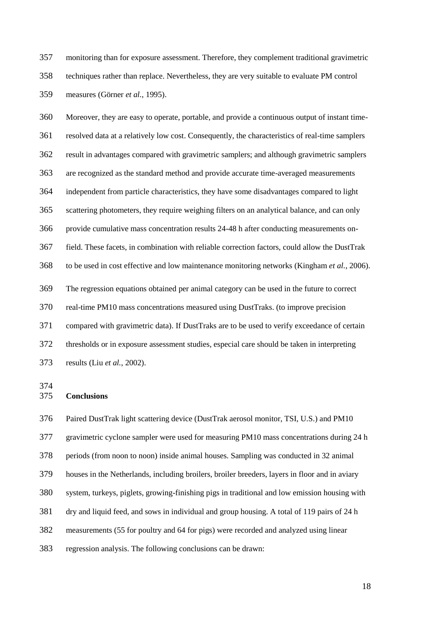monitoring than for exposure assessment. Therefore, they complement traditional gravimetric techniques rather than replace. Nevertheless, they are very suitable to evaluate PM control measures (Görner *et al.*, 1995).

 Moreover, they are easy to operate, portable, and provide a continuous output of instant time- resolved data at a relatively low cost. Consequently, the characteristics of real-time samplers result in advantages compared with gravimetric samplers; and although gravimetric samplers are recognized as the standard method and provide accurate time-averaged measurements independent from particle characteristics, they have some disadvantages compared to light scattering photometers, they require weighing filters on an analytical balance, and can only provide cumulative mass concentration results 24-48 h after conducting measurements on- field. These facets, in combination with reliable correction factors, could allow the DustTrak to be used in cost effective and low maintenance monitoring networks (Kingham *et al.*, 2006). The regression equations obtained per animal category can be used in the future to correct real-time PM10 mass concentrations measured using DustTraks. (to improve precision compared with gravimetric data). If DustTraks are to be used to verify exceedance of certain thresholds or in exposure assessment studies, especial care should be taken in interpreting results (Liu *et al.*, 2002).

**Conclusions**

 Paired DustTrak light scattering device (DustTrak aerosol monitor, TSI, U.S.) and PM10 gravimetric cyclone sampler were used for measuring PM10 mass concentrations during 24 h periods (from noon to noon) inside animal houses. Sampling was conducted in 32 animal houses in the Netherlands, including broilers, broiler breeders, layers in floor and in aviary system, turkeys, piglets, growing-finishing pigs in traditional and low emission housing with dry and liquid feed, and sows in individual and group housing. A total of 119 pairs of 24 h measurements (55 for poultry and 64 for pigs) were recorded and analyzed using linear regression analysis. The following conclusions can be drawn: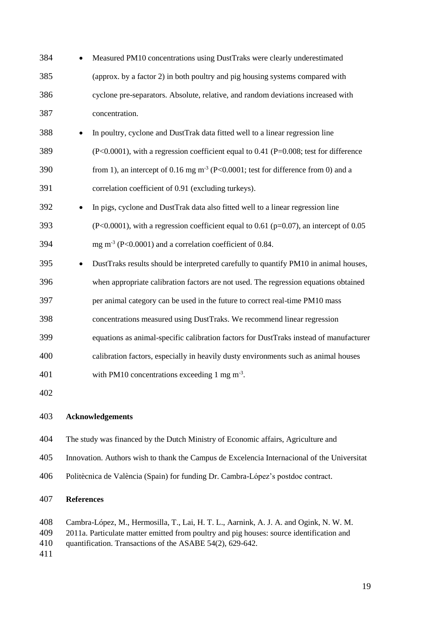| 384 |           | Measured PM10 concentrations using DustTraks were clearly underestimated                  |
|-----|-----------|-------------------------------------------------------------------------------------------|
| 385 |           | (approx. by a factor 2) in both poultry and pig housing systems compared with             |
| 386 |           | cyclone pre-separators. Absolute, relative, and random deviations increased with          |
| 387 |           | concentration.                                                                            |
| 388 |           | In poultry, cyclone and DustTrak data fitted well to a linear regression line             |
| 389 |           | $(P<0.0001)$ , with a regression coefficient equal to 0.41 (P=0.008; test for difference  |
| 390 |           | from 1), an intercept of 0.16 mg $m^{-3}$ (P<0.0001; test for difference from 0) and a    |
| 391 |           | correlation coefficient of 0.91 (excluding turkeys).                                      |
| 392 | $\bullet$ | In pigs, cyclone and DustTrak data also fitted well to a linear regression line           |
| 393 |           | $(P<0.0001)$ , with a regression coefficient equal to 0.61 (p=0.07), an intercept of 0.05 |
| 394 |           | mg m <sup>-3</sup> (P<0.0001) and a correlation coefficient of 0.84.                      |
| 395 | ٠         | DustTraks results should be interpreted carefully to quantify PM10 in animal houses,      |
| 396 |           | when appropriate calibration factors are not used. The regression equations obtained      |
| 397 |           | per animal category can be used in the future to correct real-time PM10 mass              |
| 398 |           | concentrations measured using DustTraks. We recommend linear regression                   |
| 399 |           | equations as animal-specific calibration factors for DustTraks instead of manufacturer    |
| 400 |           | calibration factors, especially in heavily dusty environments such as animal houses       |
| 401 |           | with PM10 concentrations exceeding 1 mg $m-3$ .                                           |
| 402 |           |                                                                                           |
| 403 |           | <b>Acknowledgements</b>                                                                   |

- The study was financed by the Dutch Ministry of Economic affairs, Agriculture and
- Innovation. Authors wish to thank the Campus de Excelencia Internacional of the Universitat
- Politècnica de València (Spain) for funding Dr. Cambra-López's postdoc contract.

# **References**

- Cambra-López, M., Hermosilla, T., Lai, H. T. L., Aarnink, A. J. A. and Ogink, N. W. M.
- 2011a. Particulate matter emitted from poultry and pig houses: source identification and
- quantification. Transactions of the ASABE 54(2), 629-642.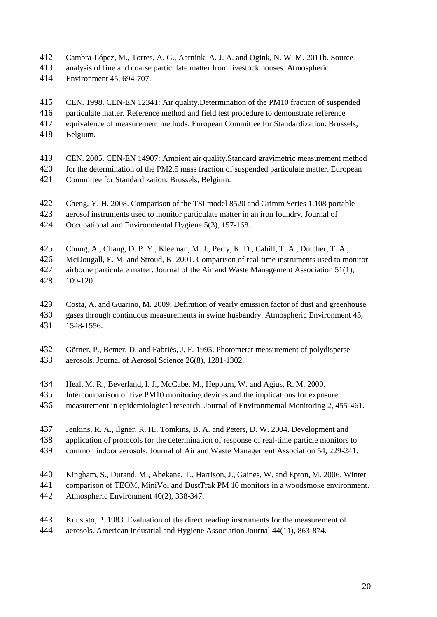- Cambra-López, M., Torres, A. G., Aarnink, A. J. A. and Ogink, N. W. M. 2011b. Source
- analysis of fine and coarse particulate matter from livestock houses. Atmospheric
- Environment 45, 694-707.

CEN. 1998. CEN-EN 12341: Air quality.Determination of the PM10 fraction of suspended

- particulate matter. Reference method and field test procedure to demonstrate reference
- equivalence of measurement methods. European Committee for Standardization. Brussels,
- Belgium.
- CEN. 2005. CEN-EN 14907: Ambient air quality.Standard gravimetric measurement method
- for the determination of the PM2.5 mass fraction of suspended particulate matter. European
- Committee for Standardization. Brussels, Belgium.
- Cheng, Y. H. 2008. Comparison of the TSI model 8520 and Grimm Series 1.108 portable
- aerosol instruments used to monitor particulate matter in an iron foundry. Journal of
- Occupational and Environmental Hygiene 5(3), 157-168.
- Chung, A., Chang, D. P. Y., Kleeman, M. J., Perry, K. D., Cahill, T. A., Dutcher, T. A.,
- McDougall, E. M. and Stroud, K. 2001. Comparison of real-time instruments used to monitor airborne particulate matter. Journal of the Air and Waste Management Association 51(1),
- 109-120.
- Costa, A. and Guarino, M. 2009. Definition of yearly emission factor of dust and greenhouse
- gases through continuous measurements in swine husbandry. Atmospheric Environment 43, 1548-1556.
- Görner, P., Bemer, D. and Fabriès, J. F. 1995. Photometer measurement of polydisperse aerosols. Journal of Aerosol Science 26(8), 1281-1302.
- Heal, M. R., Beverland, I. J., McCabe, M., Hepburn, W. and Agius, R. M. 2000.
- Intercomparison of five PM10 monitoring devices and the implications for exposure
- measurement in epidemiological research. Journal of Environmental Monitoring 2, 455-461.
- Jenkins, R. A., Ilgner, R. H., Tomkins, B. A. and Peters, D. W. 2004. Development and
- application of protocols for the determination of response of real-time particle monitors to
- common indoor aerosols. Journal of Air and Waste Management Association 54, 229-241.
- Kingham, S., Durand, M., Abekane, T., Harrison, J., Gaines, W. and Epton, M. 2006. Winter
- comparison of TEOM, MiniVol and DustTrak PM 10 monitors in a woodsmoke environment. Atmospheric Environment 40(2), 338-347.
- Kuusisto, P. 1983. Evaluation of the direct reading instruments for the measurement of aerosols. American Industrial and Hygiene Association Journal 44(11), 863-874.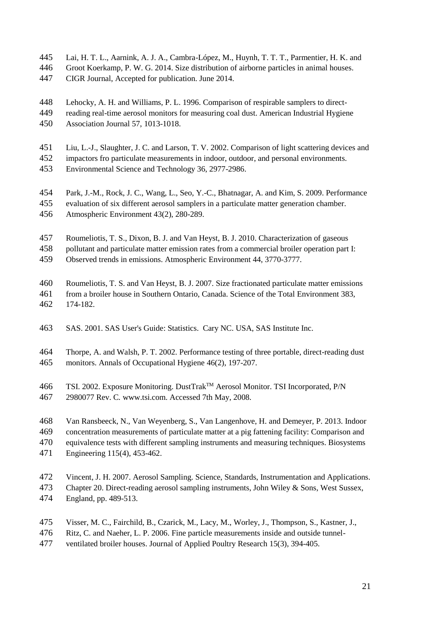- Lai, H. T. L., Aarnink, A. J. A., Cambra-López, M., Huynh, T. T. T., Parmentier, H. K. and
- Groot Koerkamp, P. W. G. 2014. Size distribution of airborne particles in animal houses.
- CIGR Journal, Accepted for publication. June 2014.
- Lehocky, A. H. and Williams, P. L. 1996. Comparison of respirable samplers to direct-
- reading real-time aerosol monitors for measuring coal dust. American Industrial Hygiene Association Journal 57, 1013-1018.
- Liu, L.-J., Slaughter, J. C. and Larson, T. V. 2002. Comparison of light scattering devices and
- impactors fro particulate measurements in indoor, outdoor, and personal environments.
- Environmental Science and Technology 36, 2977-2986.
- Park, J.-M., Rock, J. C., Wang, L., Seo, Y.-C., Bhatnagar, A. and Kim, S. 2009. Performance
- evaluation of six different aerosol samplers in a particulate matter generation chamber.
- Atmospheric Environment 43(2), 280-289.
- Roumeliotis, T. S., Dixon, B. J. and Van Heyst, B. J. 2010. Characterization of gaseous
- pollutant and particulate matter emission rates from a commercial broiler operation part I:
- Observed trends in emissions. Atmospheric Environment 44, 3770-3777.
- Roumeliotis, T. S. and Van Heyst, B. J. 2007. Size fractionated particulate matter emissions
- from a broiler house in Southern Ontario, Canada. Science of the Total Environment 383, 174-182.
- SAS. 2001. SAS User's Guide: Statistics. Cary NC. USA, SAS Institute Inc.
- Thorpe, A. and Walsh, P. T. 2002. Performance testing of three portable, direct-reading dust monitors. Annals of Occupational Hygiene 46(2), 197-207.
- 466 TSI. 2002. Exposure Monitoring. DustTrak<sup>TM</sup> Aerosol Monitor. TSI Incorporated, P/N
- 2980077 Rev. C*.* www.tsi.com. Accessed 7th May, 2008.
- Van Ransbeeck, N., Van Weyenberg, S., Van Langenhove, H. and Demeyer, P. 2013. Indoor concentration measurements of particulate matter at a pig fattening facility: Comparison and equivalence tests with different sampling instruments and measuring techniques. Biosystems
- Engineering 115(4), 453-462.
- Vincent, J. H. 2007. Aerosol Sampling. Science, Standards, Instrumentation and Applications.
- Chapter 20. Direct-reading aerosol sampling instruments, John Wiley & Sons, West Sussex,
- England, pp. 489-513.
- Visser, M. C., Fairchild, B., Czarick, M., Lacy, M., Worley, J., Thompson, S., Kastner, J.,
- Ritz, C. and Naeher, L. P. 2006. Fine particle measurements inside and outside tunnel-
- ventilated broiler houses. Journal of Applied Poultry Research 15(3), 394-405.